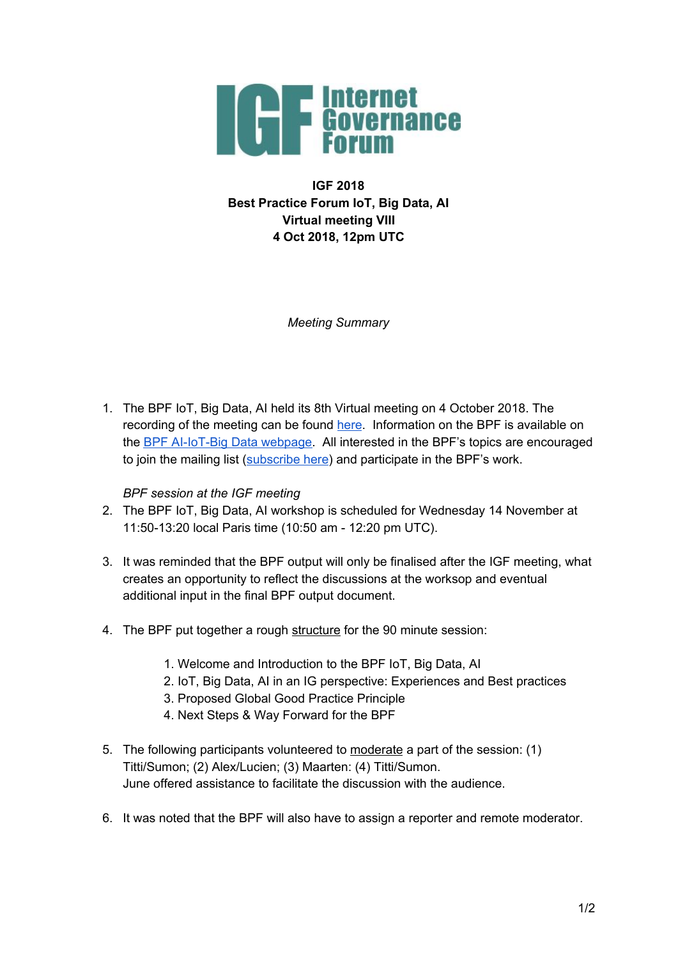

**IGF 2018 Best Practice Forum IoT, Big Data, AI Virtual meeting VIII 4 Oct 2018, 12pm UTC**

*Meeting Summary*

1. The BPF IoT, Big Data, AI held its 8th Virtual meeting on 4 October 2018. The recording of the meeting can be found [here](https://intgovforum.webex.com/intgovforum/ldr.php?RCID=1fc66b4a622abc3e04f4097ba340af05). Information on the BPF is available on the **BPF [AI-IoT-Big](https://www.intgovforum.org/multilingual/content/bpf-artificial-intelligence-ai-internet-of-things-iot-and-big-data) Data webpage**. All interested in the BPF's topics are encouraged to join the mailing list ([subscribe](https://intgovforum.org/mailman/listinfo/aiiotbd_intgovforum.org) here) and participate in the BPF's work.

## *BPF session at the IGF meeting*

- 2. The BPF IoT, Big Data, AI workshop is scheduled for Wednesday 14 November at 11:50-13:20 local Paris time (10:50 am - 12:20 pm UTC).
- 3. It was reminded that the BPF output will only be finalised after the IGF meeting, what creates an opportunity to reflect the discussions at the worksop and eventual additional input in the final BPF output document.
- 4. The BPF put together a rough structure for the 90 minute session:
	- 1. Welcome and Introduction to the BPF IoT, Big Data, AI
	- 2. IoT, Big Data, AI in an IG perspective: Experiences and Best practices
	- 3. Proposed Global Good Practice Principle
	- 4. Next Steps & Way Forward for the BPF
- 5. The following participants volunteered to moderate a part of the session: (1) Titti/Sumon; (2) Alex/Lucien; (3) Maarten: (4) Titti/Sumon. June offered assistance to facilitate the discussion with the audience.
- 6. It was noted that the BPF will also have to assign a reporter and remote moderator.